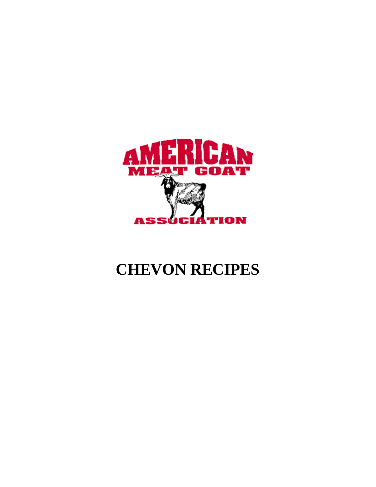

# **CHEVON RECIPES**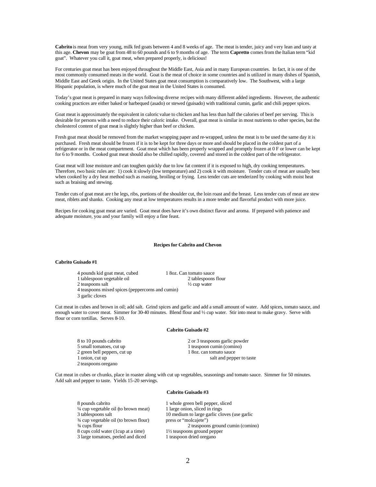**Cabrito** is meat from very young, milk fed goats between 4 and 8 weeks of age. The meat is tender, juicy and very lean and tasty at this age. **Chevon** may be goat from 48 to 60 pounds and 6 to 9 months of age. The term **Capretto** comes from the Italian term "kid goat". Whatever you call it, goat meat, when prepared properly, is delicious!

For centuries goat meat has been enjoyed throughout the Middle East, Asia and in many European countries. In fact, it is one of the most commonly consumed meats in the world. Goat is the meat of choice in some countries and is utilized in many dishes of Spanish, Middle East and Greek origin. In the United States goat meat consumption is comparatively low. The Southwest, with a large Hispanic population, is where much of the goat meat in the United States is consumed.

Today's goat meat is prepared in many ways following diverse recipes with many different added ingredients. However, the authentic cooking practices are either baked or barbequed (asado) or stewed (guisado) with traditional cumin, garlic and chili pepper spices.

Goat meat is approximately the equivalent in caloric value to chicken and has less than half the calories of beef per serving. This is desirable for persons with a need to reduce their caloric intake. Overall, goat meat is similar in most nutrients to other species, but the cholesterol content of goat meat is slightly higher than beef or chicken.

Fresh goat meat should be removed from the market wrapping paper and re-wrapped, unless the meat is to be used the same day it is purchased. Fresh meat should be frozen if it is to be kept for three days or more and should be placed in the coldest part of a refrigerator or in the meat compartment. Goat meat which has been properly wrapped and promptly frozen at 0 F or lower can be kept for 6 to 9 months. Cooked goat meat should also be chilled rapidly, covered and stored in the coldest part of the refrigerator.

Goat meat will lose moisture and can toughen quickly due to low fat content if it is exposed to high, dry cooking temperatures. Therefore, two basic rules are: 1) cook it slowly (low temperature) and 2) cook it with moisture. Tender cuts of meat are usually best when cooked by a dry heat method such as roasting, broiling or frying. Less tender cuts are tenderized by cooking with moist heat such as braising and stewing.

Tender cuts of goat meat are t he legs, ribs, portions of the shoulder cut, the loin roast and the breast. Less tender cuts of meat are stew meat, riblets and shanks. Cooking any meat at low temperatures results in a more tender and flavorful product with more juice.

Recipes for cooking goat meat are varied. Goat meat does have it's own distinct flavor and aroma. If prepared with patience and adequate moisture, you and your family will enjoy a fine feast.

#### **Recipes for Cabrito and Chevon**

# **Cabrito Guisado #1**

- 4 pounds kid goat meat, cubed 1 8oz. Can tomato sauce<br>1 tables poon vegetable oil 2 tables poons flour
- 1 tablespoon vegetable oil 2 tablespoon<br>
2 taspoons salt<br>
2 taxpoons flow 2 tablespoons flow 2 tablespoons flow 2 tables
- 2 teaspoons salt
- 4 teaspoons mixed spices (peppercorns and cumin)
- 3 garlic cloves

Cut meat in cubes and brown in oil; add salt. Grind spices and garlic and add a small amount of water. Add spices, tomato sauce, and enough water to cover meat. Simmer for 30-40 minutes. Blend flour and ½ cup water. Stir into meat to make gravy. Serve with flour or corn tortillas. Serves 8-10.

#### **Cabrito Guisado #2**

| 8 to 10 pounds cabrito       |
|------------------------------|
| 5 small tomatoes, cut up     |
| 2 green bell peppers, cut up |
| 1 onion, cut up              |
| 2 teaspoons oregano          |

2 or 3 teaspoons garlic powder  $1$  teaspoon cumin (comino) 1 8oz. can tomato sauce salt and pepper to taste

Cut meat in cubes or chunks, place in roaster along with cut up vegetables, seasonings and tomato sauce. Simmer for 50 minutes. Add salt and pepper to taste. Yields 15-20 servings.

# **Cabrito Guisado #3**

| 8 pounds cabrito                                | 1 whole green bell pepper, sliced            |
|-------------------------------------------------|----------------------------------------------|
| $\frac{1}{4}$ cup vegetable oil (to brown meat) | 1 large onion, sliced in rings               |
| 3 tablespoons salt                              | 10 medium to large garlic cloves (use garlic |
| 3/4 cup vegetable oil (to brown flour)          | press or "molcajete")                        |
| $\frac{3}{4}$ cups flour                        | 2 teaspoons ground cumin (comino)            |
| 8 cups cold water (1 cup at a time)             | $1\frac{1}{2}$ teaspoons ground pepper       |
| 3 large tomatoes, peeled and diced              | 1 teaspoon dried oregano                     |
|                                                 |                                              |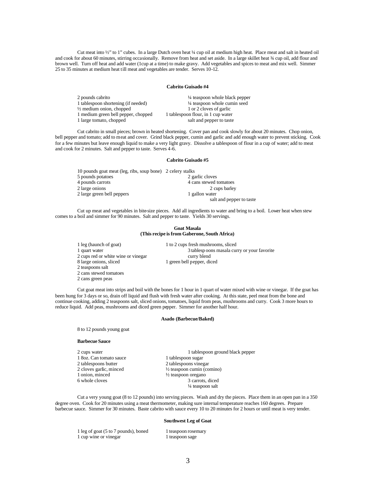Cut meat into ½" to 1" cubes. In a large Dutch oven heat ¼ cup oil at medium high heat. Place meat and salt in heated oil and cook for about 60 minutes, stirring occasionally. Remove from heat and set aside. In a large skillet heat  $\frac{3}{4}$  cup oil, add flour and brown well. Turn off heat and add water (1cup at a time) to make gravy. Add vegetables and spices to meat and mix well. Simmer 25 to 35 minutes at medium heat till meat and vegetables are tender. Serves 10-12.

#### **Cabrito Guisado #4**

| 2 pounds cabrito                    | 1/4 teaspoon whole black pepper    |
|-------------------------------------|------------------------------------|
| 1 tablespoon shortening (if needed) | 1/4 teaspoon whole cumin seed      |
| $\frac{1}{2}$ medium onion, chopped | 1 or 2 cloves of garlic            |
| 1 medium green bell pepper, chopped | 1 tablespoon flour, in 1 cup water |
| 1 large tomato, chopped             | salt and pepper to taste           |

Cut cabrito in small pieces; brown in heated shortening. Cover pan and cook slowly for about 20 minutes. Chop onion, bell pepper and tomato; add to meat and cover. Grind black pepper, cumin and garlic and add enough water to prevent sticking. Cook for a few minutes but leave enough liquid to make a very light gravy. Dissolve a tablespoon of flour in a cup of water; add to meat and cook for 2 minutes. Salt and pepper to taste. Serves 4-6.

# **Cabrito Guisado #5**

| 10 pounds goat meat (leg, ribs, soup bone) 2 celery stalks |                          |
|------------------------------------------------------------|--------------------------|
| 5 pounds potatoes                                          | 2 garlic cloves          |
| 4 pounds carrots                                           | 4 cans stewed tomatoes   |
| 2 large onions                                             | 2 cups barley            |
| 2 large green bell peppers                                 | 1 gallon water           |
|                                                            | salt and pepper to taste |

Cut up meat and vegetables in bite-size pieces. Add all ingredients to water and bring to a boil. Lower heat when stew comes to a boil and simmer for 90 minutes. Salt and pepper to taste. Yields 30 servings.

#### **Goat Masala (This recipe is from Gaberone, South Africa)**

| 1 leg (haunch of goat)              | 1 to 2 cups fresh mushrooms, sliced          |
|-------------------------------------|----------------------------------------------|
| 1 quart water                       | 3 tablesp oons masala curry or your favorite |
| 2 cups red or white wine or vinegar | curry blend                                  |
| 8 large onions, sliced              | 1 green bell pepper, diced                   |
| 2 teaspoons salt                    |                                              |
| 2 cans stewed tomatoes              |                                              |

Cut goat meat into strips and boil with the bones for 1 hour in 1 quart of water mixed with wine or vinegar. If the goat has been hung for 3 days or so, drain off liquid and flush with fresh water after cooking. At this state, peel meat from the bone and continue cooking, adding 2 teaspoons salt, sliced onions, tomatoes, liquid from peas, mushrooms and curry. Cook 3 more hours to reduce liquid. Add peas, mushrooms and diced green pepper. Simmer for another half hour.

## **Asado (Barbecue/Baked)**

8 to 12 pounds young goat

# **Barbecue Sauce**

2 cans green peas

1 8oz. Can tomato sauce<br>2 tablespoons butter 2 tablespoons butter 2 tablespoons vinegar<br>
2 cloves garlic, minced  $\frac{1}{2}$  teaspoon cumin (co. 2 cloves garlic, minced <br>  $\frac{1}{2}$  teaspoon cumin (comino)<br>  $\frac{1}{2}$  teaspoon oregano 1 onion, minced  $\frac{1}{2}$  teaspoon oregano<br>6 whole cloves 3 carrots

2 cups water 1 tablespoon ground black pepper<br>
1 tablespoon sugar<br>
1 tablespoon sugar 3 carrots, diced ¼ teaspoon salt

Cut a very young goat (8 to 12 pounds) into serving pieces. Wash and dry the pieces. Place them in an open pan in a 350 degree oven. Cook for 20 minutes using a meat thermometer, making sure internal temperature reaches 160 degrees. Prepare barbecue sauce. Simmer for 30 minutes. Baste cabrito with sauce every 10 to 20 minutes for 2 hours or until meat is very tender.

# **Southwest Leg of Goat**

1 leg of goat (5 to 7 pounds), boned 1 teaspoon rosemary<br>1 cup wine or vinegar 1 teaspoon sage 1 cup wine or vinegar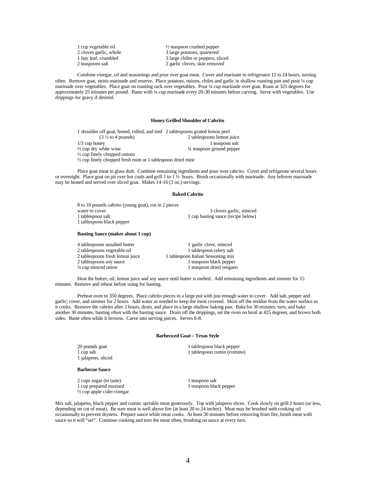| 1 cup vegetable oil    | $\frac{1}{2}$ teaspoon crushed pepper |
|------------------------|---------------------------------------|
| 2 cloves garlic, whole | 3 large potatoes, quartered           |
| 1 bay leaf, crumbled   | 3 large chiles or peppers, sliced     |
| 2 teaspoons salt       | 2 garlic cloves, skin removed         |

Combine vinegar, oil and seasonings and pour over goat meat. Cover and marinate in refrigerator 12 to 24 hours, turning often. Remove goat, strain marinade and reserve. Place potatoes, onions, chiles and garlic in shallow roasting pan and pour ¼ cup marinade over vegetables. Place goat on roasting rack over vegetables. Pour ¼ cup marinade over goat. Roast at 325 degrees for approximately 25 minutes per pound. Baste with ¼ cup marinade every 20-30 minutes before carving. Serve with vegetables. Use drippings for gravy if desired.

#### **Honey Grilled Shoulder of Cabrito**

1 shoulder off goat, boned, rolled, and tied 2 tablespoons grated lemon peel (3  $\frac{1}{2}$  to 4 pounds) 2 tablespoons lemon j 2 tablespoons lemon juice 1/3 cup honey 1 teaspoon salt<br>  $\frac{1}{2}$  cup dry white wine 1/4 teaspoon ground pepper  $\frac{1}{4}$  teaspoon ground pepper  $\frac{1}{2}$  cup finely chopped onions ½ cup finely chopped fresh mint or 1 tablespoon dried mint

Place goat meat in glass dish. Combine remaining ingredients and pour over cabrito. Cover and refrigerate several hours or overnight. Place goat on pit over hot coals and grill 1 to 1 ½ hours. Brush occasionally with marinade. Any leftover marinade may be heated and served over sliced goat. Makes 14-16 (3 oz.) servings.

#### **Baked Cabrito**

| 8 to 10 pounds cabrito (young goat), cut in 2 pieces |                                    |
|------------------------------------------------------|------------------------------------|
| water to cover                                       | 3 cloves garlic, minced            |
| 1 tablespoon salt                                    | 1 cup basting sauce (recipe below) |
| 1 tablespoon black pepper                            |                                    |

#### **Basting Sauce (makes about 1 cup)**

| 4 tablespoons unsalted butter   | 1 garlic clove, minced             |
|---------------------------------|------------------------------------|
| 2 tablespoons vegetable oil     | 1 tablespoon celery salt           |
| 2 tablespoons fresh lemon juice | 1 tablespoon Italian Seasoning mix |
| 2 tablespoons soy sauce         | 1 teaspoon black pepper            |
| 1/4 cup minced onion            | 1 teaspoon dried oregano           |
|                                 |                                    |

Heat the butter, oil, lemon juice and soy sauce until butter is melted. Add remaining ingredients and simmer for 15 minutes. Remove and reheat before using for basting.

Preheat oven to 350 degrees. Place cabrito pieces in a large pot with just enough water to cover. Add salt, pepper and garlic; cover, and simmer for 2 hours. Add water as needed to keep the meat covered. Skim off the residue from the water surface as it cooks. Remove the cabrito after 2 hours, drain, and place in a large shallow baking pan. Bake for 30 minutes, turn, and bake another 30 minutes, basting often with the basting sauce. Drain off the drippings, set the oven on broil at 425 degrees, and brown both sides. Baste often while it browns. Carve into serving pieces. Serves 6-8.

#### **Barbecued Goat – Texas Style**

1 jalapeno, sliced

#### **Barbecue Sauce**

2 cups sugar (to taste) 1 teaspoon salt<br>
1 cup prepared mustard<br>
1 teaspoon black pepper 1 cup prepared mustard  $\frac{1}{2}$  cup apple cider vinegar

20 pounds goat 1 tablespoon black pepper<br>
1 tablespoon cumin (comin<br>
1 tablespoon cumin (comin 1 tablespoon cumin (comino)

Mix salt, jalapeno, black pepper and cumin; sprinkle meat generously. Top with jalapeno slices. Cook slowly on grill 2 hours (or less, depending on cut of meat). Be sure meat is well above fire (at least 20 to 24 inches). Meat may be brushed with cooking oil occasionally to prevent dryness. Prepare sauce while meat cooks. At least 30 minutes before removing from fire, brush meat with sauce so it will "set". Continue cooking and turn the meat often, brushing on sauce at every turn.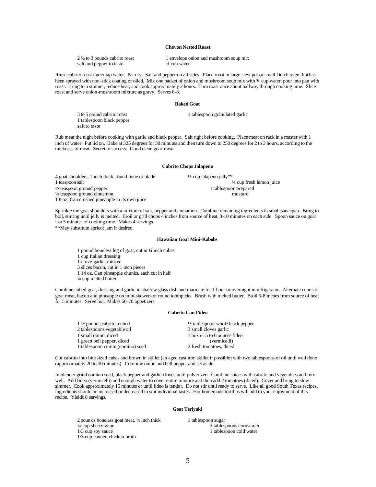# **Chevon Netted Roast**

| $2\frac{1}{2}$ to 3 pounds cabrito roast | 1 envelope onion and mushroom soup mix |
|------------------------------------------|----------------------------------------|
| salt and pepper to taste                 | <sup>3</sup> / <sub>4</sub> cup water  |

Rinse cabrito roast under tap water. Pat dry. Salt and pepper on all sides. Place roast in large stew pot or small Dutch oven that has been sprayed with non-stick coating or oiled. Mix one packet of onion and mushroom soup mix with ¾ cup water; pour into pan with roast. Bring to a simmer, reduce heat, and cook approximately 2 hours. Turn roast once about halfway through cooking time. Slice roast and serve onion-mushroom mixture as gravy. Serves 6-8.

#### **Baked Goat**

3 to 5 pound cabrito roast 1 tablespoon granulated garlic

Rub meat the night before cooking with garlic and black pepper. Salt right before cooking. Place meat on rack in a roaster with 1 inch of water. Put lid on. Bake at 325 degrees for 30 minutes and then turn down to 250 degrees for 2 to 3 hours, according to the thickness of meat. Secret to success: Good clean goat meat.

#### **Cabrito Chops Jalapeno**

4 goat shoulders, 1 inch thick, round bone or blade  $\frac{1}{2}$  cup jalapeno jelly\*\*  $\frac{1}{2}$  teaspoon ground pepper  $\frac{1}{2}$  tablespoon prepared  $\frac{1}{2}$  tablespoon prepared mustard  $\frac{1}{2}$  teaspoon ground cinnamon 1 8 oz. Can crushed pineapple in its own juice

1 tablespoon black pepper

salt to taste

 $\frac{1}{4}$  cup fresh lemon juice

Sprinkle the goat shoulders with a mixture of salt, pepper and cinnamon. Combine remaining ingredients in small saucepan. Bring to boil, stirring until jelly is melted. Broil or grill chops 4 inches from source of heat, 8-10 minutes on each side. Spoon sauce on goat last 5 minutes of cooking time. Makes 4 servings.

\*\*May substitute apricot jam if desired.

# **Hawaiian Goat Mini-Kabobs**

1 pound boneless leg of goat, cut in ¾ inch cubes

1 cup Italian dressing

1 clove garlic, minced

3 slices bacon, cut in 1 inch pieces

1 14 oz. Can pineapple chunks, each cut in half

¼ cup melted butter

Combine cubed goat, dressing and garlic in shallow glass dish and marinate for 1 hour or overnight in refrigerator. Alternate cubes of goat meat, bacon and pineapple on mini-skewers or round toothpicks. Brush with melted butter. Broil 5-8 inches from source of heat for 5 minutes. Serve hot. Makes 60-70 appetizers.

#### **Cabrito Con Fideo**

| $1\frac{1}{2}$ pounds cabrito, cubed | $\frac{1}{2}$ tablespoon whole black pepper |
|--------------------------------------|---------------------------------------------|
| 2 tablespoons vegetable oil          | 3 small cloves garlic                       |
| 1 small onion, diced                 | 1 box or 5 to 6 ounces fideo                |
| 1 green bell pepper, diced           | (vermicelli)                                |
| 1 tablespoon cumin (comino) seed     | 2 fresh tomatoes, diced                     |

Cut cabrito into bite-sized cubes and brown in skillet (an aged cast iron skillet if possible) with two tablespoons of oil until well done (approximately 20 to 30 minutes). Combine onion and bell pepper and set aside.

In blender grind comino seed, black pepper and garlic cloves until pulverized. Combine spices with cabrito and vegetables and mix well. Add fideo (vermicelli) and enough water to cover entire mixture and then add 2 tomatoes (diced). Cover and bring to slow simmer. Cook approximately 15 minutes or until fideo is tender. Do not stir until ready to serve. Like all good South Texas recipes, ingredients should be increased or decreased to suit individual tastes. Hot homemade tortillas will add to your enjoyment of this recipe. Yields 8 servings.

#### **Goat Teriyaki**

2 poun ds boneless goat meat, 1/4 inch thick 1 tablespoon sugar<br>
1/4 cup sherry wine 2 tables 1/3 cup soy sauce 1 tablespoon cold water 1/3 cup canned chicken broth

2 tablespoons cornstarch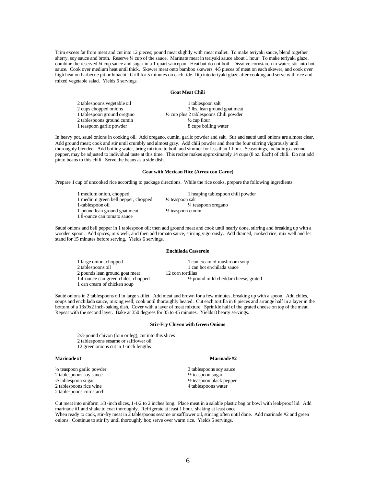Trim excess fat from meat and cut into 12 pieces; pound meat slightly with meat mallet. To make teriyaki sauce, blend together sherry, soy sauce and broth. Reserve 1/4 cup of the sauce. Marinate meat in teriyaki sauce about 1 hour. To make teriyaki glaze, combine the reserved ¼ cup sauce and sugar in a 1 quart saucepan. Heat but do not boil. Dissolve cornstarch in water; stir into hot sauce. Cook over medium heat until thick. Skewer meat onto bamboo skewers, 4-5 pieces of meat on each skewer, and cook over high heat on barbecue pit or hibachi. Grill for 5 minutes on each side. Dip into teriyaki glaze after cooking and serve with rice and mixed vegetable salad. Yields 6 servings.

#### **Goat Meat Chili**

| 2 tablespoons vegetable oil | 1 tablespoon salt                                 |
|-----------------------------|---------------------------------------------------|
| 2 cups chopped onions       | 3 lbs. lean ground goat meat                      |
| 1 tablespoon ground oregano | $\frac{1}{2}$ cup plus 2 tablespoons Chili powder |
| 2 tablespoons ground cumin  | $\frac{1}{2}$ cup flour                           |
| 1 teaspoon garlic powder    | 8 cups boiling water                              |

In heavy pot, sauté onions in cooking oil. Add oregano, cumin, garlic powder and salt. Stir and sauté until onions are almost clear. Add ground meat; cook and stir until crumbly and almost gray. Add chili powder and then the four stirring vigorously until thoroughly blended. Add boiling water, bring mixture to boil, and simmer for less than 1 hour. Seasonings, including cayenne pepper, may be adjusted to individual taste at this time. This recipe makes approximately 14 cups (8 oz. Each) of chili. Do not add pinto beans to this chili. Serve the beans as a side dish.

#### **Goat with Mexican Rice (Arroz con Carne)**

Prepare 1 cup of uncooked rice according to package directions. While the rice cooks, prepare the following ingredients:

| 1 medium onion, chopped             | 1 heaping tablespoon chili powder |
|-------------------------------------|-----------------------------------|
| 1 medium green bell pepper, chopped | $\frac{1}{2}$ teaspoon salt       |
| 1-tablespoon oil                    | $\frac{1}{4}$ teaspoon oregano    |
| 1-pound lean ground goat meat       | $\frac{1}{2}$ teaspoon cumin      |
| 18-ounce can tomato sauce           |                                   |

Sauté onions and bell pepper in 1 tablespoon oil; then add ground meat and cook until nearly done, stirring and breaking up with a wooden spoon. Add spices, mix well, and then add tomato sauce, stirring vigorously. Add drained, cooked rice, mix well and let stand for 15 minutes before serving. Yields 6 servings.

# **Enchilada Casserole**

| 1 large onion, chopped             | 1 can cream of mushroom soup                    |
|------------------------------------|-------------------------------------------------|
| 2 tablespoons oil                  | 1 can hot enchilada sauce                       |
| 2 pounds lean ground goat meat     | 12 corn tortillas                               |
| 14-ounce can green chiles, chopped | $\frac{1}{2}$ pound mild cheddar cheese, grated |
| 1 can cream of chicken soup        |                                                 |

Sauté onions in 2 tablespoons oil in large skillet. Add meat and brown for a few minutes, breaking up with a spoon. Add chiles, soups and enchilada sauce, mixing well; cook until thoroughly heated. Cut each tortilla in 8 pieces and arrange half in a layer in the bottom of a 13x9x2 inch-baking dish. Cover with a layer of meat mixture. Sprinkle half of the grated cheese on top of the meat. Repeat with the second layer. Bake at 350 degrees for 35 to 45 minutes. Yields 8 hearty servings.

#### **Stir-Fry Chivon with Green Onions**

2/3-pound chivon (loin or leg), cut into this slices 2 tablespoons sesame or safflower oil 12 green onions cut in 1-inch lengths

#### **Marinade #1 Marinade #2**

 $\frac{1}{2}$  teaspoon garlic powder 3 tablespoons soy sauce  $\frac{1}{2}$  teaspoon soy sauce  $\frac{1}{2}$  teaspoon sugar 2 tablespoons soy sauce  $\frac{1}{2}$  tablespoon sugar 2 tablespoons rice wine 2 tablespoons cornstarch

 $\frac{1}{2}$  teaspoon black pepper 4 tablespoons water

Cut meat into uniform 1/8 -inch slices, 1-1/2 to 2 inches long. Place meat in a salable plastic bag or bowl with leak-proof lid. Add marinade #1 and shake to coat thoroughly. Refrigerate at least 1 hour, shaking at least once. When ready to cook, stir-fry meat in 2 tablespoons sesame or safflower oil, stirring often until done. Add marinade #2 and green onions. Continue to stir fry until thoroughly hot; serve over warm rice. Yields 5 servings.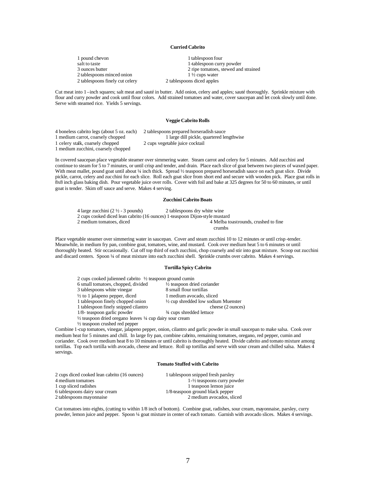# **Curried Cabrito**

| 1 pound chevon                  | 1 tablespoon four          |
|---------------------------------|----------------------------|
| salt to taste                   | 1-tablespoon curr          |
| 3 ounces butter                 | 2 ripe tomatoes, s         |
| 2 tablespoons minced onion      | $1\frac{1}{2}$ cups water  |
| 2 tablespoons finely cut celery | 2 tablespoons diced apples |

1-tablespoon curry powder 2 ripe tomatoes, stewed and strained  $1\frac{1}{2}$  cups water 2 tablespoons diced apples

Cut meat into 1 –inch squares; salt meat and sauté in butter. Add onion, celery and apples; sauté thoroughly. Sprinkle mixture with flour and curry powder and cook until flour colors. Add strained tomatoes and water, cover saucepan and let cook slowly until done. Serve with steamed rice. Yields 5 servings.

#### **Veggie Cabrito Rolls**

4 boneless cabrito legs (about 5 oz. each) 2 tablespoons prepared horseradish sauce 1 celery stalk, coarsely chopped 2 cups vegetable juice cocktail 1 medium zucchini, coarsely chopped

1 large dill pickle, quartered lengthwise

In covered saucepan place vegetable steamer over simmering water. Steam carrot and celery for 5 minutes. Add zucchini and continue to steam for 5 to 7 minutes, or until crisp and tender, and drain. Place each slice of goat between two pieces of waxed paper. With meat mallet, pound goat until about ¼ inch thick. Spread ½ teaspoon prepared horseradish sauce on each goat slice. Divide pickle, carrot, celery and zucchini for each slice. Roll each goat slice from short end and secure with wooden pick. Place goat rolls in 8x8 inch glass baking dish. Pour vegetable juice over rolls. Cover with foil and bake at 325 degrees for 50 to 60 minutes, or until goat is tender. Skim off sauce and serve. Makes 4 serving.

# **Zucchini Cabrito Boats**

4 large zucchini  $(2 \frac{1}{2} - 3$  pounds) 2 tables poons dry white wine 2 cups cooked diced lean cabrito (16 ounces) 1-teaspoon Dijon-style mustard

4 Melba toastrounds, crushed to fine crumbs

Place vegetable steamer over simmering water in saucepan. Cover and steam zucchini 10 to 12 minutes or until crisp -tender. Meanwhile, in medium fry pan, combine goat, tomatoes, wine, and mustard. Cook over medium heat 5 to 6 minutes or until thoroughly heated. Stir occasionally. Cut off top third of each zucchini, chop coarsely and stir into goat mixture. Scoop out zucchini and discard centers. Spoon ¼ of meat mixture into each zucchini shell. Sprinkle crumbs over cabrito. Makes 4 servings.

#### **Tortilla Spicy Cabrito**

| 2 cups cooked julienned cabrito $\frac{1}{2}$ teaspoon ground cumin            |                                                |  |
|--------------------------------------------------------------------------------|------------------------------------------------|--|
| 6 small tomatoes, chopped, divided                                             | $\frac{1}{2}$ teaspoon dried coriander         |  |
| 3 tablespoons white vinegar                                                    | 8 small flour tortillas                        |  |
| $\frac{1}{2}$ to 1 jalapeno pepper, diced                                      | 1 medium avocado, sliced                       |  |
| 1 tablespoon finely chopped onion                                              | $\frac{1}{2}$ cup shredded low sodium Muenster |  |
| 1 tablespoon finely snipped cilantro                                           | cheese (2 ounces)                              |  |
| 1/8- teaspoon garlic powder                                                    | 3/4 cups shredded lettuce                      |  |
| $\frac{1}{2}$ teaspoon dried oregano leaves $\frac{1}{4}$ cup dairy sour cream |                                                |  |
| $\frac{1}{2}$ teaspoon crushed red pepper                                      |                                                |  |

Combine 1-cup tomatoes, vinegar, jalapeno pepper, onion, cilantro and garlic powder in small saucepan to make salsa. Cook over medium heat for 5 minutes and chill. In large fry pan, combine cabrito, remaining tomatoes, oregano, red pepper, cumin and coriander. Cook over medium heat 8 to 10 minutes or until cabrito is thoroughly heated. Divide cabrito and tomato mixture among tortillas. Top each tortilla with avocado, cheese and lettuce. Roll up tortillas and serve with sour cream and chilled salsa. Makes 4 servings.

## **Tomato Stuffed with Cabrito**

| 1 tablespoon snipped fresh parsley       |
|------------------------------------------|
| $1 - \frac{1}{2}$ teaspoons curry powder |
| 1 teaspoon lemon juice                   |
| 1/8-teaspoon ground black pepper         |
| 2 medium avocados, sliced                |
|                                          |

Cut tomatoes into eights, (cutting to within 1/8 inch of bottom). Combine goat, radishes, sour cream, mayonnaise, parsley, curry powder, lemon juice and pepper. Spoon ¼ goat mixture in center of each tomato. Garnish with avocado slices. Makes 4 servings.

# 7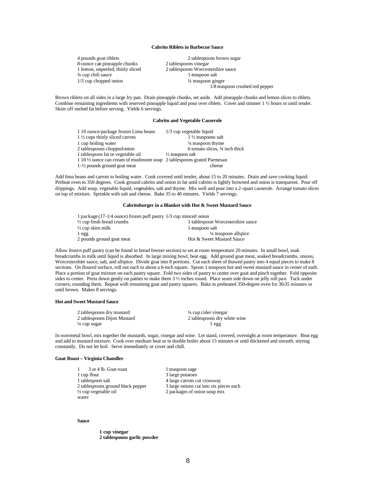#### **Cabrito Riblets in Barbecue Sauce**

1 lemon, unpeeled, thinly sliced 2 tablespoons Worcesters<br>  $\frac{3}{4}$  cup chili sauce 1 -teaspoon salt  $\frac{3}{4}$  cup chili sauce

4 pounds goat riblets 2 tablespoons brown sugar<br>8-ounce can pineapple chunks 2 tablespoons vinegar 8-ounce can pineapple chunks 2 tables poons vinegar<br>1 lemon, unpeeled, thinly sliced 2 tables poons Worcestershire sauce 1/3 cup chopped onion  $\frac{1}{4}$  teaspoon ginger 1/8 teaspoon crushed red pepper

Brown riblets on all sides in a large fry pan. Drain pineapple chunks, set aside. Add pineapple chunks and lemon slices to riblets. Combine remaining ingredients with reserved pineapple liquid and pour over riblets. Cover and simmer 1 ½ hours or until tender. Skim off melted fat before serving. Yields 6 servings.

# **Cabrito and Vegetable Casserole**

| 1 10 ounce-package frozen Lima beans                                                | $1/3$ cup vegetable liquid      |
|-------------------------------------------------------------------------------------|---------------------------------|
| 1 1/2 cups thinly sliced carrots                                                    | $1\frac{1}{2}$ teaspoons salt   |
| 1 cup boiling water                                                                 | $\frac{1}{4}$ teaspoon thyme    |
| 2 tablespoons chopped onion                                                         | 6 tomato slices, 3/4 inch thick |
| 1 tablespoon fat or vegetable oil                                                   | $\frac{1}{2}$ teaspoon salt     |
| 1 10 $\frac{1}{2}$ ounce can cream of mushroom soup 2 tables poons grated Parmes an |                                 |
| $1-\frac{1}{2}$ pounds ground goat meat                                             | cheese                          |

Add lima beans and carrots to boiling water. Cook covered until tender, about 15 to 20 minutes. Drain and save cooking liquid. Preheat oven to 350 degrees. Cook ground cabrito and onion in fat until cabrito is lightly browned and onion is transparent. Pour off drippings. Add soup, vegetable liquid, vegetables, salt and thyme. Mix well and pour into a 2-quart casserole. Arrange tomato slices on top of mixture. Sprinkle with salt and cheese. Bake 35 to 40 minutes. Yields 7 servings.

# **Cabritoburger in a Blanket with Hot & Sweet Mustard Sauce**

| 1 package (17-1/4 ounce) frozen puff pastry 1/3 cup minced onion |  |
|------------------------------------------------------------------|--|
| 1-tablespoon Worcestershire sauce                                |  |
| 1-teaspoon salt                                                  |  |
| <sup>1</sup> / <sub>4</sub> teaspoon allspice                    |  |
| Hot & Sweet Mustard Sauce                                        |  |
|                                                                  |  |

Allow frozen puff pastry (can be found in bread freezer section) to set at room temperature 20 minutes. In small bowl, soak breadcrumbs in milk until liquid is absorbed. In large mixing bowl, beat egg. Add ground goat meat, soaked breadcrumbs, onions, Worcestershire sauce, salt, and allspice. Divide goat into 8 portions. Cut each sheet of thawed pastry into 4 equal pieces to make 8 sections. On floured surface, roll out each to about a 6-inch square. Spoon 1 teaspoon hot and sweet mustard sauce in center of each. Place a portion of goat mixture on each pastry square. Fold two sides of pastry to center over goat and pinch together. Fold opposite sides to center. Press down gently on patties to make them 3  $\frac{1}{2}$  inches round. Place seam side down on jelly roll pan. Tuck under corners, rounding them. Repeat with remaining goat and pastry squares. Bake in preheated 350-degree oven for 30-35 minutes or until brown. Makes 8 servings.

#### **Hot and Sweet Mustard Sauce**

| 2 tablespoons dry mustard   | $\frac{1}{4}$ cup cider vinegar |
|-----------------------------|---------------------------------|
| 2 tablespoons Dijon Mustard | 2 tablespoons dry white wine    |
| ¼ cup sugar                 | l egg                           |

In non-metal bowl, mix together the mustards, sugar, vinegar and wine. Let stand, covered, overnight at room temperature. Beat egg and add to mustard mixture. Cook over medium heat or in double boiler about 15 minutes or until thickened and smooth, stirring constantly. Do not let boil. Serve immediately or cover and chill.

#### **Goat Roast – Virginia Chandler**

| 3 or 4 lb. Goat roast             | 1 teaspoon sage                         |
|-----------------------------------|-----------------------------------------|
| 1 cup flour                       | 3 large potatoes                        |
| 1 tablespoon salt                 | 4 large carrots cut crossway            |
| 2 tablespoons ground black pepper | 3 large onions cut into six pieces each |
| $\frac{1}{2}$ cup vegetable oil   | 2 packages of onion soup mix            |
| water                             |                                         |

#### **Sauce**

**1 cup vinegar 2 tablespoons garlic powder**